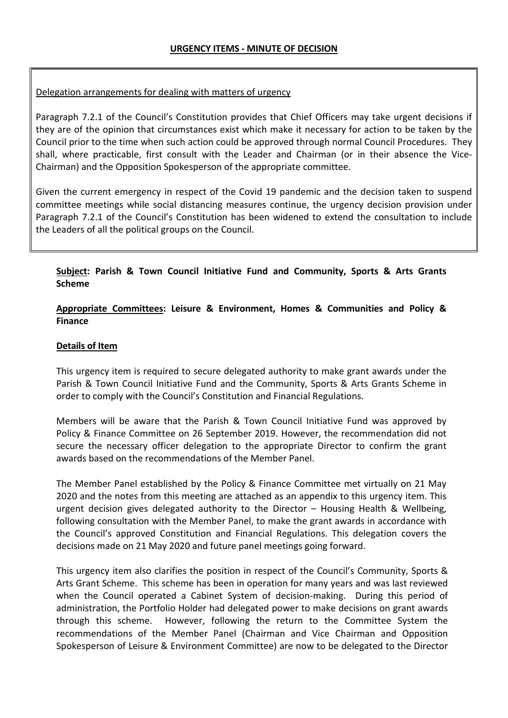## Delegation arrangements for dealing with matters of urgency

Paragraph 7.2.1 of the Council's Constitution provides that Chief Officers may take urgent decisions if they are of the opinion that circumstances exist which make it necessary for action to be taken by the Council prior to the time when such action could be approved through normal Council Procedures. They shall, where practicable, first consult with the Leader and Chairman (or in their absence the Vice-Chairman) and the Opposition Spokesperson of the appropriate committee.

Given the current emergency in respect of the Covid 19 pandemic and the decision taken to suspend committee meetings while social distancing measures continue, the urgency decision provision under Paragraph 7.2.1 of the Council's Constitution has been widened to extend the consultation to include the Leaders of all the political groups on the Council.

## **Subject: Parish & Town Council Initiative Fund and Community, Sports & Arts Grants Scheme**

## **Appropriate Committees: Leisure & Environment, Homes & Communities and Policy & Finance**

### **Details of Item**

This urgency item is required to secure delegated authority to make grant awards under the Parish & Town Council Initiative Fund and the Community, Sports & Arts Grants Scheme in order to comply with the Council's Constitution and Financial Regulations.

Members will be aware that the Parish & Town Council Initiative Fund was approved by Policy & Finance Committee on 26 September 2019. However, the recommendation did not secure the necessary officer delegation to the appropriate Director to confirm the grant awards based on the recommendations of the Member Panel.

The Member Panel established by the Policy & Finance Committee met virtually on 21 May 2020 and the notes from this meeting are attached as an appendix to this urgency item. This urgent decision gives delegated authority to the Director – Housing Health & Wellbeing, following consultation with the Member Panel, to make the grant awards in accordance with the Council's approved Constitution and Financial Regulations. This delegation covers the decisions made on 21 May 2020 and future panel meetings going forward.

This urgency item also clarifies the position in respect of the Council's Community, Sports & Arts Grant Scheme. This scheme has been in operation for many years and was last reviewed when the Council operated a Cabinet System of decision-making. During this period of administration, the Portfolio Holder had delegated power to make decisions on grant awards through this scheme. However, following the return to the Committee System the recommendations of the Member Panel (Chairman and Vice Chairman and Opposition Spokesperson of Leisure & Environment Committee) are now to be delegated to the Director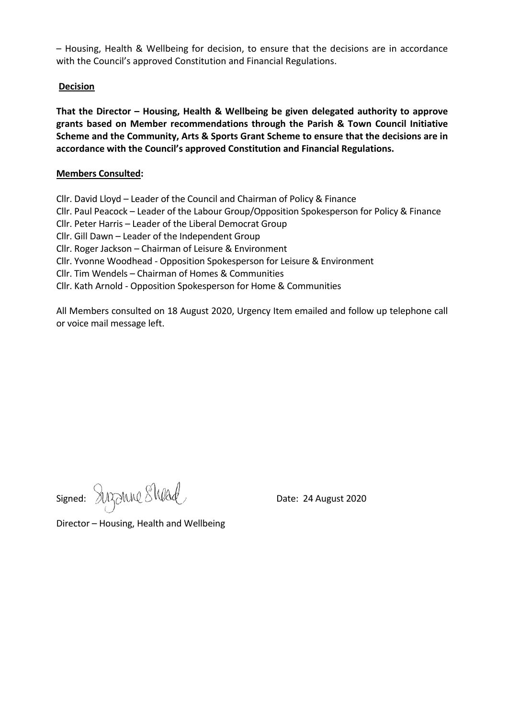– Housing, Health & Wellbeing for decision, to ensure that the decisions are in accordance with the Council's approved Constitution and Financial Regulations.

### **Decision**

**That the Director – Housing, Health & Wellbeing be given delegated authority to approve grants based on Member recommendations through the Parish & Town Council Initiative Scheme and the Community, Arts & Sports Grant Scheme to ensure that the decisions are in accordance with the Council's approved Constitution and Financial Regulations.** 

### **Members Consulted:**

Cllr. David Lloyd – Leader of the Council and Chairman of Policy & Finance

Cllr. Paul Peacock – Leader of the Labour Group/Opposition Spokesperson for Policy & Finance

Cllr. Peter Harris – Leader of the Liberal Democrat Group

Cllr. Gill Dawn – Leader of the Independent Group

Cllr. Roger Jackson – Chairman of Leisure & Environment

Cllr. Yvonne Woodhead - Opposition Spokesperson for Leisure & Environment

Cllr. Tim Wendels – Chairman of Homes & Communities

Cllr. Kath Arnold - Opposition Spokesperson for Home & Communities

All Members consulted on 18 August 2020, Urgency Item emailed and follow up telephone call or voice mail message left.

Signed: SUBONNE SWALL

Director – Housing, Health and Wellbeing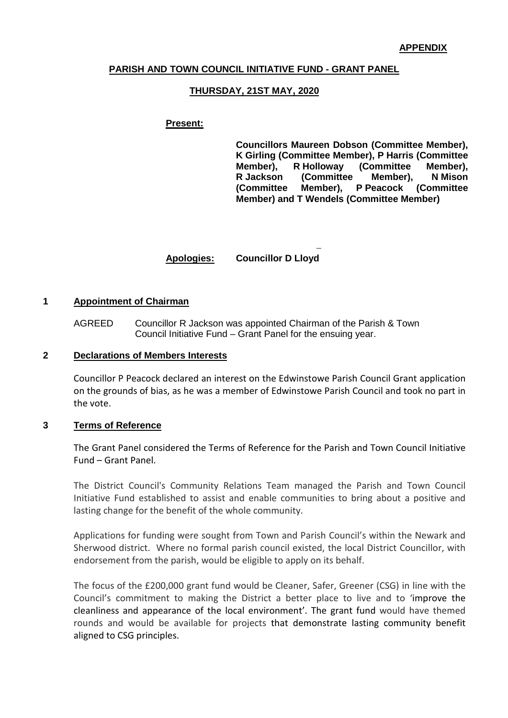#### **PARISH AND TOWN COUNCIL INITIATIVE FUND - GRANT PANEL**

#### **THURSDAY, 21ST MAY, 2020**

#### **Present:**

**Councillors Maureen Dobson (Committee Member), K Girling (Committee Member), P Harris (Committee (Committee Member),<br>Member), N Mison R Jackson (Committee Member), N Mison (Committee Member), P Peacock (Committee Member) and T Wendels (Committee Member)**

− **Apologies: Councillor D Lloyd**

#### **1 Appointment of Chairman**

AGREED Councillor R Jackson was appointed Chairman of the Parish & Town Council Initiative Fund – Grant Panel for the ensuing year.

#### **2 Declarations of Members Interests**

Councillor P Peacock declared an interest on the Edwinstowe Parish Council Grant application on the grounds of bias, as he was a member of Edwinstowe Parish Council and took no part in the vote.

#### **3 Terms of Reference**

The Grant Panel considered the Terms of Reference for the Parish and Town Council Initiative Fund – Grant Panel.

The District Council's Community Relations Team managed the Parish and Town Council Initiative Fund established to assist and enable communities to bring about a positive and lasting change for the benefit of the whole community.

Applications for funding were sought from Town and Parish Council's within the Newark and Sherwood district. Where no formal parish council existed, the local District Councillor, with endorsement from the parish, would be eligible to apply on its behalf.

The focus of the £200,000 grant fund would be Cleaner, Safer, Greener (CSG) in line with the Council's commitment to making the District a better place to live and to 'improve the cleanliness and appearance of the local environment'. The grant fund would have themed rounds and would be available for projects that demonstrate lasting community benefit aligned to CSG principles.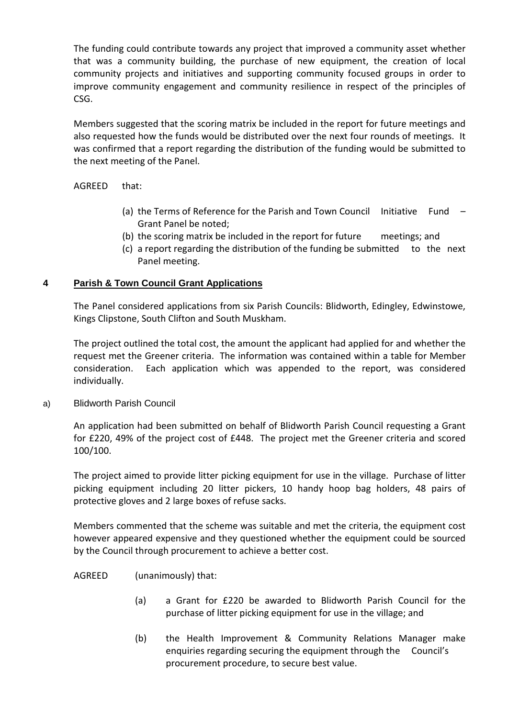The funding could contribute towards any project that improved a community asset whether that was a community building, the purchase of new equipment, the creation of local community projects and initiatives and supporting community focused groups in order to improve community engagement and community resilience in respect of the principles of CSG.

Members suggested that the scoring matrix be included in the report for future meetings and also requested how the funds would be distributed over the next four rounds of meetings. It was confirmed that a report regarding the distribution of the funding would be submitted to the next meeting of the Panel.

### AGREED that:

- (a) the Terms of Reference for the Parish and Town Council Initiative Fund  $-$ Grant Panel be noted;
- (b) the scoring matrix be included in the report for future meetings; and
- (c) a report regarding the distribution of the funding be submitted to the next Panel meeting.

## **4 Parish & Town Council Grant Applications**

The Panel considered applications from six Parish Councils: Blidworth, Edingley, Edwinstowe, Kings Clipstone, South Clifton and South Muskham.

The project outlined the total cost, the amount the applicant had applied for and whether the request met the Greener criteria. The information was contained within a table for Member consideration. Each application which was appended to the report, was considered individually.

### a) Blidworth Parish Council

An application had been submitted on behalf of Blidworth Parish Council requesting a Grant for £220, 49% of the project cost of £448. The project met the Greener criteria and scored 100/100.

The project aimed to provide litter picking equipment for use in the village. Purchase of litter picking equipment including 20 litter pickers, 10 handy hoop bag holders, 48 pairs of protective gloves and 2 large boxes of refuse sacks.

Members commented that the scheme was suitable and met the criteria, the equipment cost however appeared expensive and they questioned whether the equipment could be sourced by the Council through procurement to achieve a better cost.

### AGREED (unanimously) that:

- (a) a Grant for £220 be awarded to Blidworth Parish Council for the purchase of litter picking equipment for use in the village; and
- (b) the Health Improvement & Community Relations Manager make enquiries regarding securing the equipment through the Council's procurement procedure, to secure best value.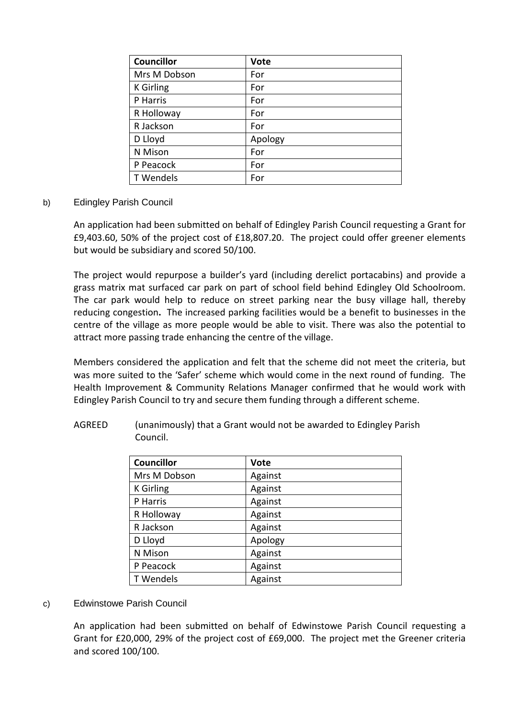| <b>Councillor</b> | <b>Vote</b> |
|-------------------|-------------|
| Mrs M Dobson      | For         |
| <b>K</b> Girling  | For         |
| P Harris          | For         |
| R Holloway        | For         |
| R Jackson         | For         |
| D Lloyd           | Apology     |
| N Mison           | For         |
| P Peacock         | For         |
| T Wendels         | For         |

## b) Edingley Parish Council

An application had been submitted on behalf of Edingley Parish Council requesting a Grant for £9,403.60, 50% of the project cost of £18,807.20. The project could offer greener elements but would be subsidiary and scored 50/100.

The project would repurpose a builder's yard (including derelict portacabins) and provide a grass matrix mat surfaced car park on part of school field behind Edingley Old Schoolroom. The car park would help to reduce on street parking near the busy village hall, thereby reducing congestion**.** The increased parking facilities would be a benefit to businesses in the centre of the village as more people would be able to visit. There was also the potential to attract more passing trade enhancing the centre of the village.

Members considered the application and felt that the scheme did not meet the criteria, but was more suited to the 'Safer' scheme which would come in the next round of funding. The Health Improvement & Community Relations Manager confirmed that he would work with Edingley Parish Council to try and secure them funding through a different scheme.

| <b>Councillor</b> | <b>Vote</b> |
|-------------------|-------------|
| Mrs M Dobson      | Against     |
| <b>K</b> Girling  | Against     |
| P Harris          | Against     |
| R Holloway        | Against     |
| R Jackson         | Against     |
| D Lloyd           | Apology     |
| N Mison           | Against     |
| P Peacock         | Against     |
| T Wendels         | Against     |

AGREED (unanimously) that a Grant would not be awarded to Edingley Parish Council.

### c) Edwinstowe Parish Council

An application had been submitted on behalf of Edwinstowe Parish Council requesting a Grant for £20,000, 29% of the project cost of £69,000. The project met the Greener criteria and scored 100/100.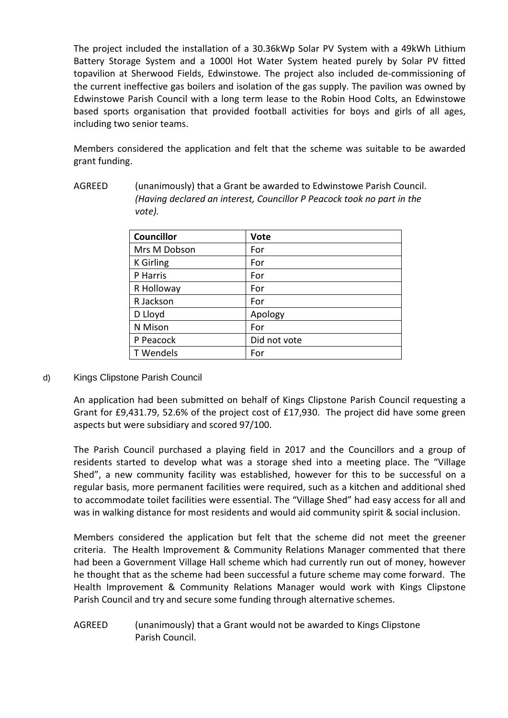The project included the installation of a 30.36kWp Solar PV System with a 49kWh Lithium Battery Storage System and a 1000l Hot Water System heated purely by Solar PV fitted topavilion at Sherwood Fields, Edwinstowe. The project also included de-commissioning of the current ineffective gas boilers and isolation of the gas supply. The pavilion was owned by Edwinstowe Parish Council with a long term lease to the Robin Hood Colts, an Edwinstowe based sports organisation that provided football activities for boys and girls of all ages, including two senior teams.

Members considered the application and felt that the scheme was suitable to be awarded grant funding.

| Councillor | 11 <sub>0</sub>                                                        |
|------------|------------------------------------------------------------------------|
| vote).     |                                                                        |
|            | (Having declared an interest, Councillor P Peacock took no part in the |

AGREED (unanimously) that a Grant be awarded to Edwinstowe Parish Council.

| <b>Councillor</b> | <b>Vote</b>  |
|-------------------|--------------|
| Mrs M Dobson      | For          |
| <b>K</b> Girling  | For          |
| P Harris          | For          |
| R Holloway        | For          |
| R Jackson         | For          |
| D Lloyd           | Apology      |
| N Mison           | For          |
| P Peacock         | Did not vote |
| T Wendels         | For          |
|                   |              |

### d) Kings Clipstone Parish Council

An application had been submitted on behalf of Kings Clipstone Parish Council requesting a Grant for £9,431.79, 52.6% of the project cost of £17,930. The project did have some green aspects but were subsidiary and scored 97/100.

The Parish Council purchased a playing field in 2017 and the Councillors and a group of residents started to develop what was a storage shed into a meeting place. The "Village Shed", a new community facility was established, however for this to be successful on a regular basis, more permanent facilities were required, such as a kitchen and additional shed to accommodate toilet facilities were essential. The "Village Shed" had easy access for all and was in walking distance for most residents and would aid community spirit & social inclusion.

Members considered the application but felt that the scheme did not meet the greener criteria. The Health Improvement & Community Relations Manager commented that there had been a Government Village Hall scheme which had currently run out of money, however he thought that as the scheme had been successful a future scheme may come forward. The Health Improvement & Community Relations Manager would work with Kings Clipstone Parish Council and try and secure some funding through alternative schemes.

# AGREED (unanimously) that a Grant would not be awarded to Kings Clipstone Parish Council.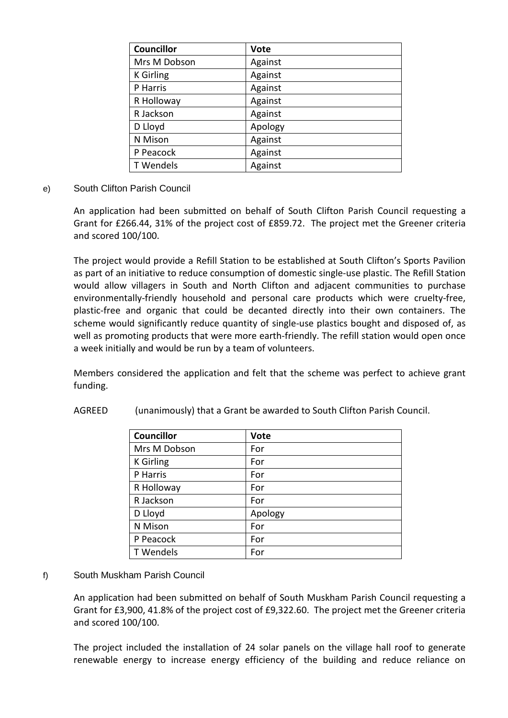| <b>Councillor</b> | <b>Vote</b> |
|-------------------|-------------|
| Mrs M Dobson      | Against     |
| <b>K</b> Girling  | Against     |
| P Harris          | Against     |
| R Holloway        | Against     |
| R Jackson         | Against     |
| D Lloyd           | Apology     |
| N Mison           | Against     |
| P Peacock         | Against     |
| T Wendels         | Against     |

e) South Clifton Parish Council

An application had been submitted on behalf of South Clifton Parish Council requesting a Grant for £266.44, 31% of the project cost of £859.72. The project met the Greener criteria and scored 100/100.

The project would provide a Refill Station to be established at South Clifton's Sports Pavilion as part of an initiative to reduce consumption of domestic single-use plastic. The Refill Station would allow villagers in South and North Clifton and adjacent communities to purchase environmentally-friendly household and personal care products which were cruelty-free, plastic-free and organic that could be decanted directly into their own containers. The scheme would significantly reduce quantity of single-use plastics bought and disposed of, as well as promoting products that were more earth-friendly. The refill station would open once a week initially and would be run by a team of volunteers.

Members considered the application and felt that the scheme was perfect to achieve grant funding.

| <b>Councillor</b> | <b>Vote</b> |
|-------------------|-------------|
| Mrs M Dobson      | For         |
| <b>K</b> Girling  | For         |
| P Harris          | For         |
| R Holloway        | For         |
| R Jackson         | For         |
| D Lloyd           | Apology     |
| N Mison           | For         |
| P Peacock         | For         |
| T Wendels         | For         |

AGREED (unanimously) that a Grant be awarded to South Clifton Parish Council.

### f) South Muskham Parish Council

An application had been submitted on behalf of South Muskham Parish Council requesting a Grant for £3,900, 41.8% of the project cost of £9,322.60. The project met the Greener criteria and scored 100/100.

The project included the installation of 24 solar panels on the village hall roof to generate renewable energy to increase energy efficiency of the building and reduce reliance on